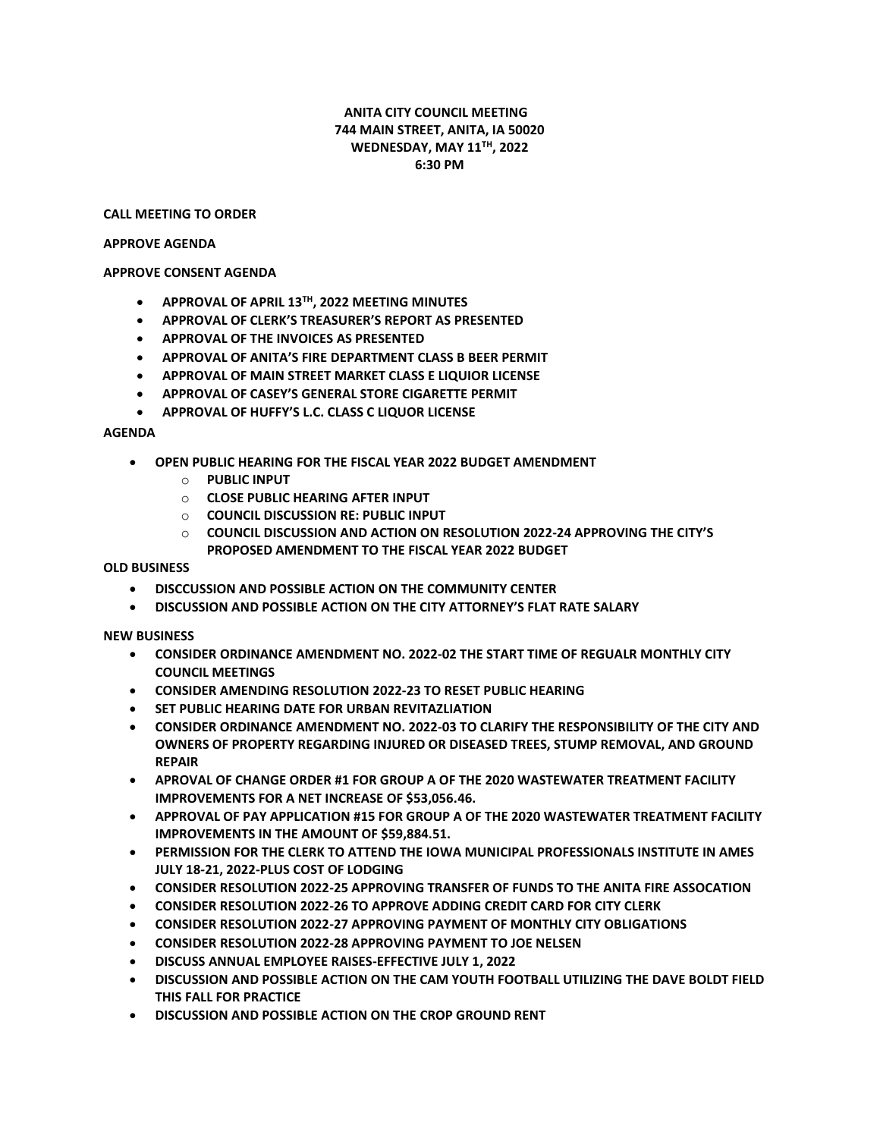# **ANITA CITY COUNCIL MEETING 744 MAIN STREET, ANITA, IA 50020 WEDNESDAY, MAY 11TH, 2022 6:30 PM**

## **CALL MEETING TO ORDER**

#### **APPROVE AGENDA**

# **APPROVE CONSENT AGENDA**

- **APPROVAL OF APRIL 13TH, 2022 MEETING MINUTES**
- **APPROVAL OF CLERK'S TREASURER'S REPORT AS PRESENTED**
- **APPROVAL OF THE INVOICES AS PRESENTED**
- **APPROVAL OF ANITA'S FIRE DEPARTMENT CLASS B BEER PERMIT**
- **APPROVAL OF MAIN STREET MARKET CLASS E LIQUIOR LICENSE**
- **APPROVAL OF CASEY'S GENERAL STORE CIGARETTE PERMIT**
- **APPROVAL OF HUFFY'S L.C. CLASS C LIQUOR LICENSE**

## **AGENDA**

- **OPEN PUBLIC HEARING FOR THE FISCAL YEAR 2022 BUDGET AMENDMENT**
	- o **PUBLIC INPUT**
	- o **CLOSE PUBLIC HEARING AFTER INPUT**
	- o **COUNCIL DISCUSSION RE: PUBLIC INPUT**
	- o **COUNCIL DISCUSSION AND ACTION ON RESOLUTION 2022-24 APPROVING THE CITY'S PROPOSED AMENDMENT TO THE FISCAL YEAR 2022 BUDGET**

**OLD BUSINESS**

- **DISCCUSSION AND POSSIBLE ACTION ON THE COMMUNITY CENTER**
- **DISCUSSION AND POSSIBLE ACTION ON THE CITY ATTORNEY'S FLAT RATE SALARY**

**NEW BUSINESS**

- **CONSIDER ORDINANCE AMENDMENT NO. 2022-02 THE START TIME OF REGUALR MONTHLY CITY COUNCIL MEETINGS**
- **CONSIDER AMENDING RESOLUTION 2022-23 TO RESET PUBLIC HEARING**
- **SET PUBLIC HEARING DATE FOR URBAN REVITAZLIATION**
- **CONSIDER ORDINANCE AMENDMENT NO. 2022-03 TO CLARIFY THE RESPONSIBILITY OF THE CITY AND OWNERS OF PROPERTY REGARDING INJURED OR DISEASED TREES, STUMP REMOVAL, AND GROUND REPAIR**
- **APROVAL OF CHANGE ORDER #1 FOR GROUP A OF THE 2020 WASTEWATER TREATMENT FACILITY IMPROVEMENTS FOR A NET INCREASE OF \$53,056.46.**
- **APPROVAL OF PAY APPLICATION #15 FOR GROUP A OF THE 2020 WASTEWATER TREATMENT FACILITY IMPROVEMENTS IN THE AMOUNT OF \$59,884.51.**
- **PERMISSION FOR THE CLERK TO ATTEND THE IOWA MUNICIPAL PROFESSIONALS INSTITUTE IN AMES JULY 18-21, 2022-PLUS COST OF LODGING**
- **CONSIDER RESOLUTION 2022-25 APPROVING TRANSFER OF FUNDS TO THE ANITA FIRE ASSOCATION**
- **CONSIDER RESOLUTION 2022-26 TO APPROVE ADDING CREDIT CARD FOR CITY CLERK**
- **CONSIDER RESOLUTION 2022-27 APPROVING PAYMENT OF MONTHLY CITY OBLIGATIONS**
- **CONSIDER RESOLUTION 2022-28 APPROVING PAYMENT TO JOE NELSEN**
- **DISCUSS ANNUAL EMPLOYEE RAISES-EFFECTIVE JULY 1, 2022**
- **DISCUSSION AND POSSIBLE ACTION ON THE CAM YOUTH FOOTBALL UTILIZING THE DAVE BOLDT FIELD THIS FALL FOR PRACTICE**
- **DISCUSSION AND POSSIBLE ACTION ON THE CROP GROUND RENT**